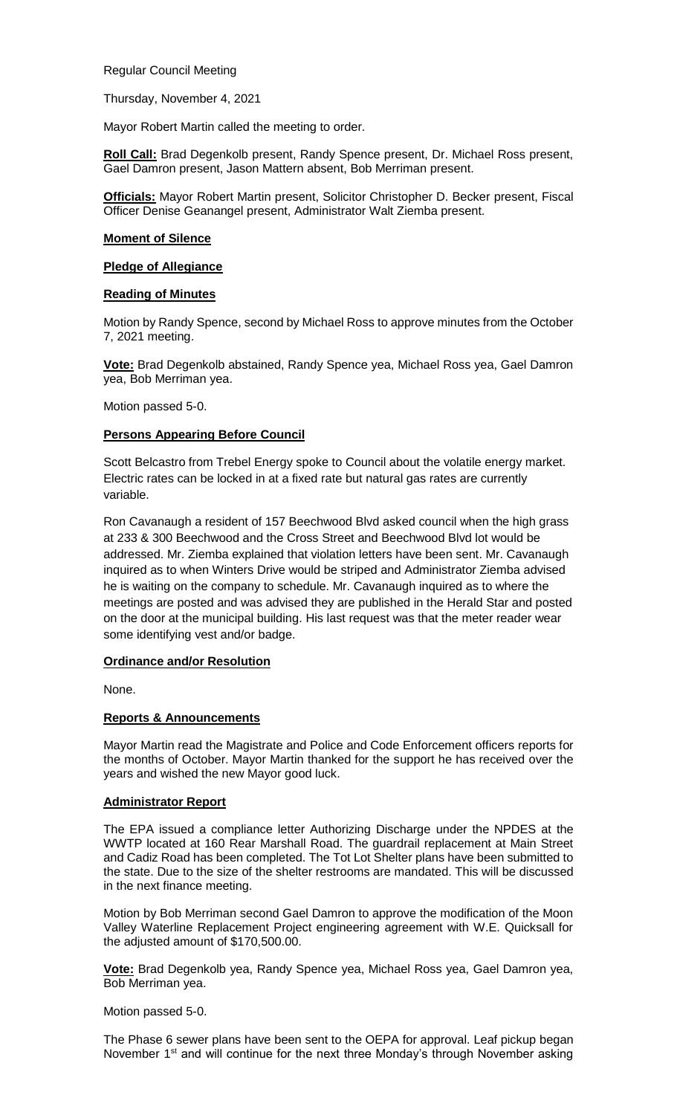Regular Council Meeting

Thursday, November 4, 2021

Mayor Robert Martin called the meeting to order.

**Roll Call:** Brad Degenkolb present, Randy Spence present, Dr. Michael Ross present, Gael Damron present, Jason Mattern absent, Bob Merriman present.

**Officials:** Mayor Robert Martin present, Solicitor Christopher D. Becker present, Fiscal Officer Denise Geanangel present, Administrator Walt Ziemba present.

#### **Moment of Silence**

#### **Pledge of Allegiance**

#### **Reading of Minutes**

Motion by Randy Spence, second by Michael Ross to approve minutes from the October 7, 2021 meeting.

**Vote:** Brad Degenkolb abstained, Randy Spence yea, Michael Ross yea, Gael Damron yea, Bob Merriman yea.

Motion passed 5-0.

# **Persons Appearing Before Council**

Scott Belcastro from Trebel Energy spoke to Council about the volatile energy market. Electric rates can be locked in at a fixed rate but natural gas rates are currently variable.

Ron Cavanaugh a resident of 157 Beechwood Blvd asked council when the high grass at 233 & 300 Beechwood and the Cross Street and Beechwood Blvd lot would be addressed. Mr. Ziemba explained that violation letters have been sent. Mr. Cavanaugh inquired as to when Winters Drive would be striped and Administrator Ziemba advised he is waiting on the company to schedule. Mr. Cavanaugh inquired as to where the meetings are posted and was advised they are published in the Herald Star and posted on the door at the municipal building. His last request was that the meter reader wear some identifying vest and/or badge.

# **Ordinance and/or Resolution**

None.

# **Reports & Announcements**

Mayor Martin read the Magistrate and Police and Code Enforcement officers reports for the months of October. Mayor Martin thanked for the support he has received over the years and wished the new Mayor good luck.

# **Administrator Report**

The EPA issued a compliance letter Authorizing Discharge under the NPDES at the WWTP located at 160 Rear Marshall Road. The guardrail replacement at Main Street and Cadiz Road has been completed. The Tot Lot Shelter plans have been submitted to the state. Due to the size of the shelter restrooms are mandated. This will be discussed in the next finance meeting.

Motion by Bob Merriman second Gael Damron to approve the modification of the Moon Valley Waterline Replacement Project engineering agreement with W.E. Quicksall for the adjusted amount of \$170,500.00.

**Vote:** Brad Degenkolb yea, Randy Spence yea, Michael Ross yea, Gael Damron yea, Bob Merriman yea.

#### Motion passed 5-0.

The Phase 6 sewer plans have been sent to the OEPA for approval. Leaf pickup began November 1<sup>st</sup> and will continue for the next three Monday's through November asking